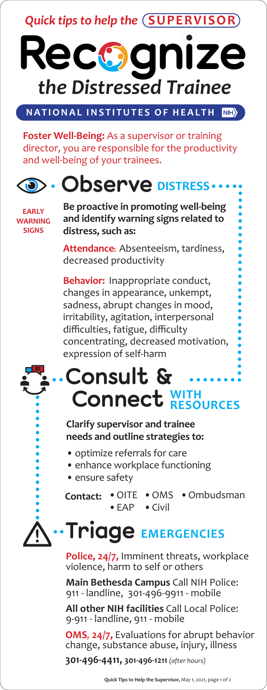

**NATIONAL INSTITUTES OF HEALTH**  $\vert$ NIH $\rangle$ 

**Foster Well-Being:** As a supervisor or training director, you are responsible for the productivity and well-being of your trainees.



**EARLY WARNING SIGNS**

**Be proactive in promoting well-being and identify warning signs related to distress, such as:**

**Attendance:** Absenteeism, tardiness, decreased productivity

**Behavior:** Inappropriate conduct, changes in appearance, unkempt, sadness, abrupt changes in mood, irritability, agitation, interpersonal difficulties, fatigue, difficulty concentrating, decreased motivation, expression of self-harm

#### **Consult & Connect WITH RESOURCES**

#### **Clarify supervisor and trainee needs and outline strategies to:**

- optimize referrals for care
- enhance workplace functioning
- ensure safety

 $\bullet$  OITE •EAP •OMS •Ombudsman•Civil **Contact:**

# **Triage EMERGENCIES**

**Police, 24/7,** Imminent threats, workplace violence, harm to self or others

**Main Bethesda Campus** Call NIH Police: 911 - landline, 301-496-9911 - mobile

**All other NIH facilities** Call Local Police: 9-911 - landline, 911 - mobile

**OMS***,* **24/7,** Evaluations for abrupt behavior change, substance abuse, injury, illness

**301-496-4411, 301-496-1211** *(after hours)*